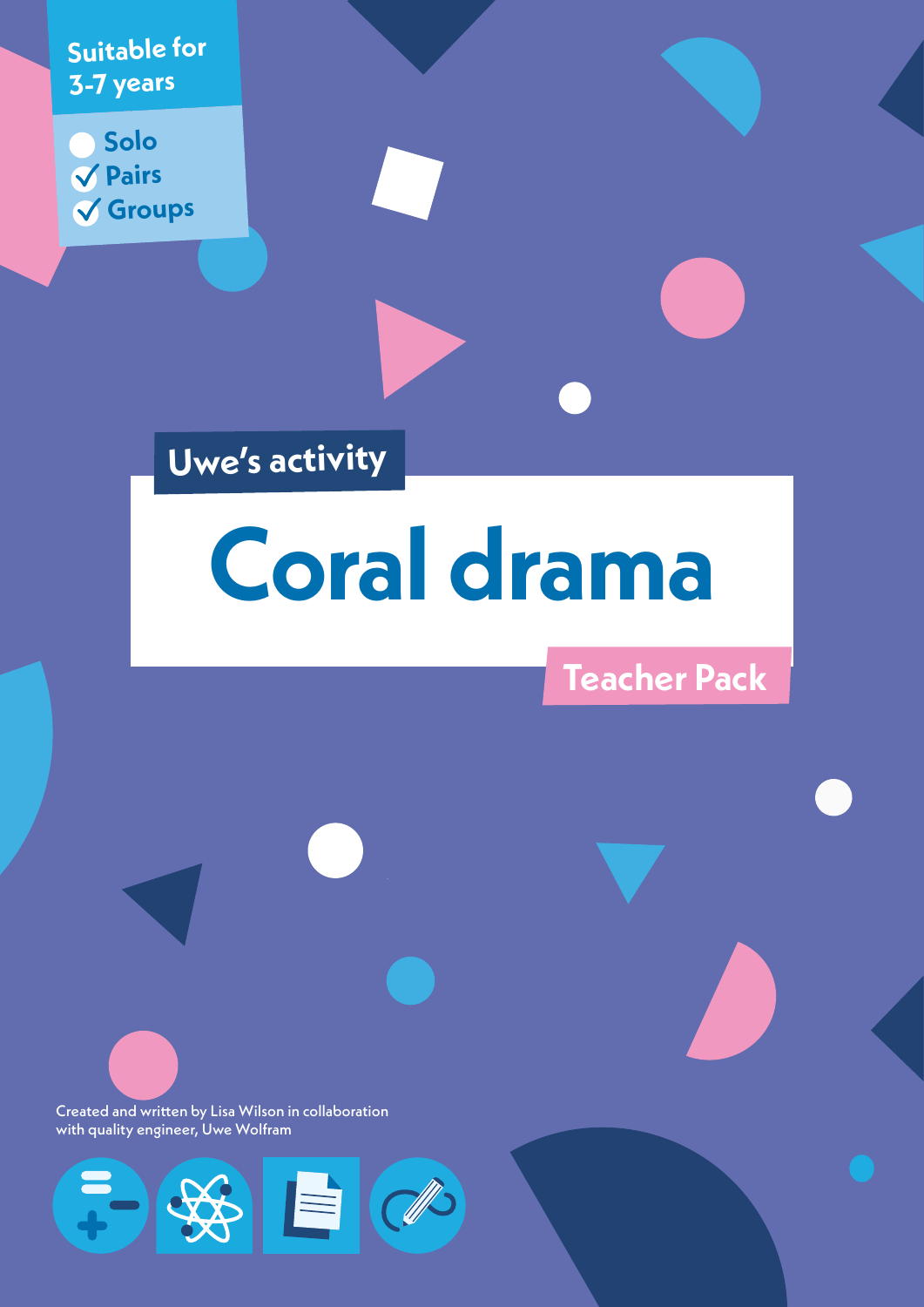**Suitable for 3-7 years**

**Solo Pairs Groups**

**Uwe's activity**

# **Coral drama**

**Teacher Pack**

Created and written by Lisa Wilson in collaboration with quality engineer, Uwe Wolfram

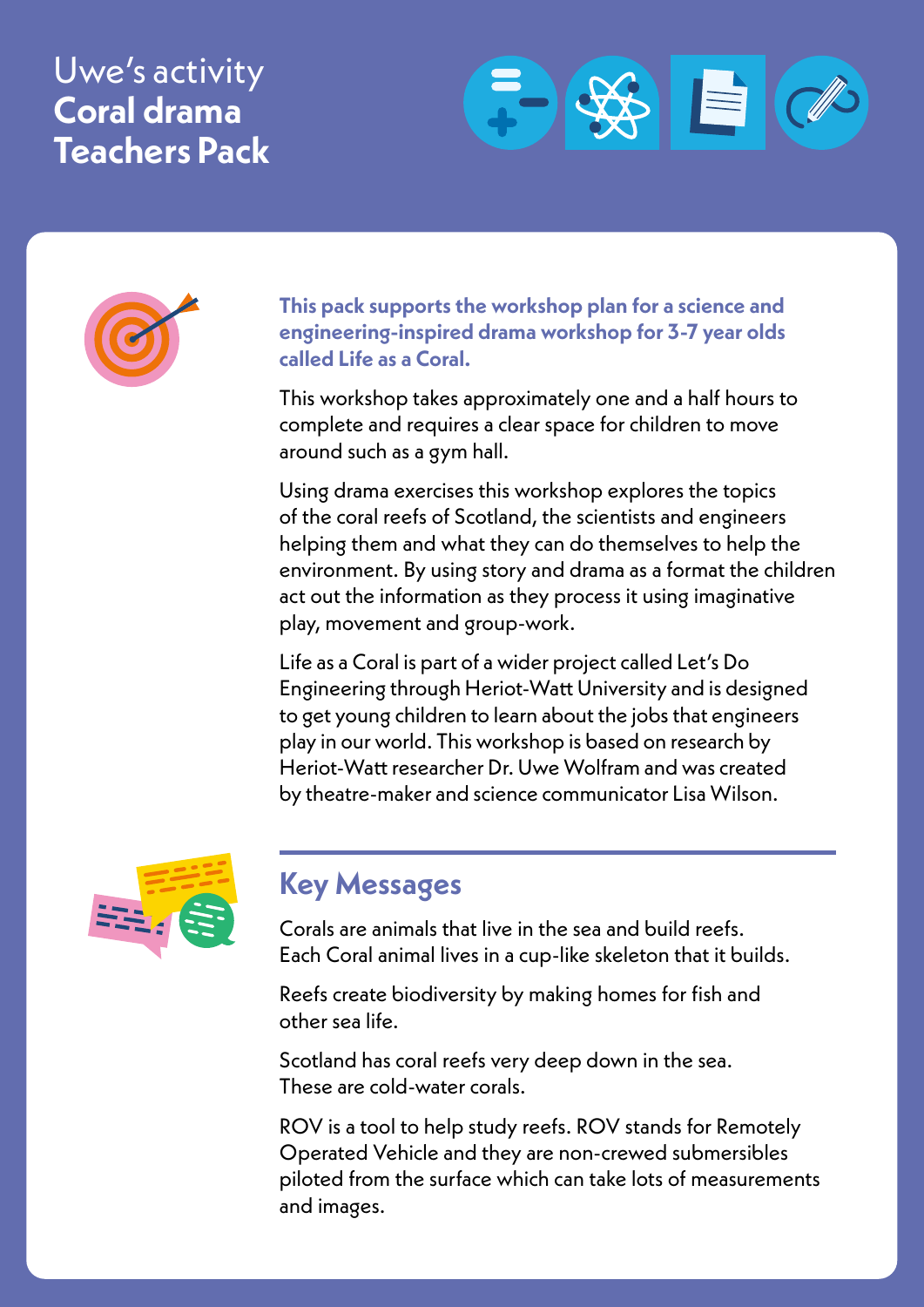# Uwe's activity **Coral drama Teachers Pack**





**This pack supports the workshop plan for a science and engineering-inspired drama workshop for 3-7 year olds called Life as a Coral.**

This workshop takes approximately one and a half hours to complete and requires a clear space for children to move around such as a gym hall.

Using drama exercises this workshop explores the topics of the coral reefs of Scotland, the scientists and engineers helping them and what they can do themselves to help the environment. By using story and drama as a format the children act out the information as they process it using imaginative play, movement and group-work.

Life as a Coral is part of a wider project called Let's Do Engineering through Heriot-Watt University and is designed to get young children to learn about the jobs that engineers play in our world. This workshop is based on research by Heriot-Watt researcher Dr. Uwe Wolfram and was created by theatre-maker and science communicator Lisa Wilson.



## **Key Messages**

Corals are animals that live in the sea and build reefs. Each Coral animal lives in a cup-like skeleton that it builds.

Reefs create biodiversity by making homes for fish and other sea life.

Scotland has coral reefs very deep down in the sea. These are cold-water corals.

ROV is a tool to help study reefs. ROV stands for Remotely Operated Vehicle and they are non-crewed submersibles piloted from the surface which can take lots of measurements and images.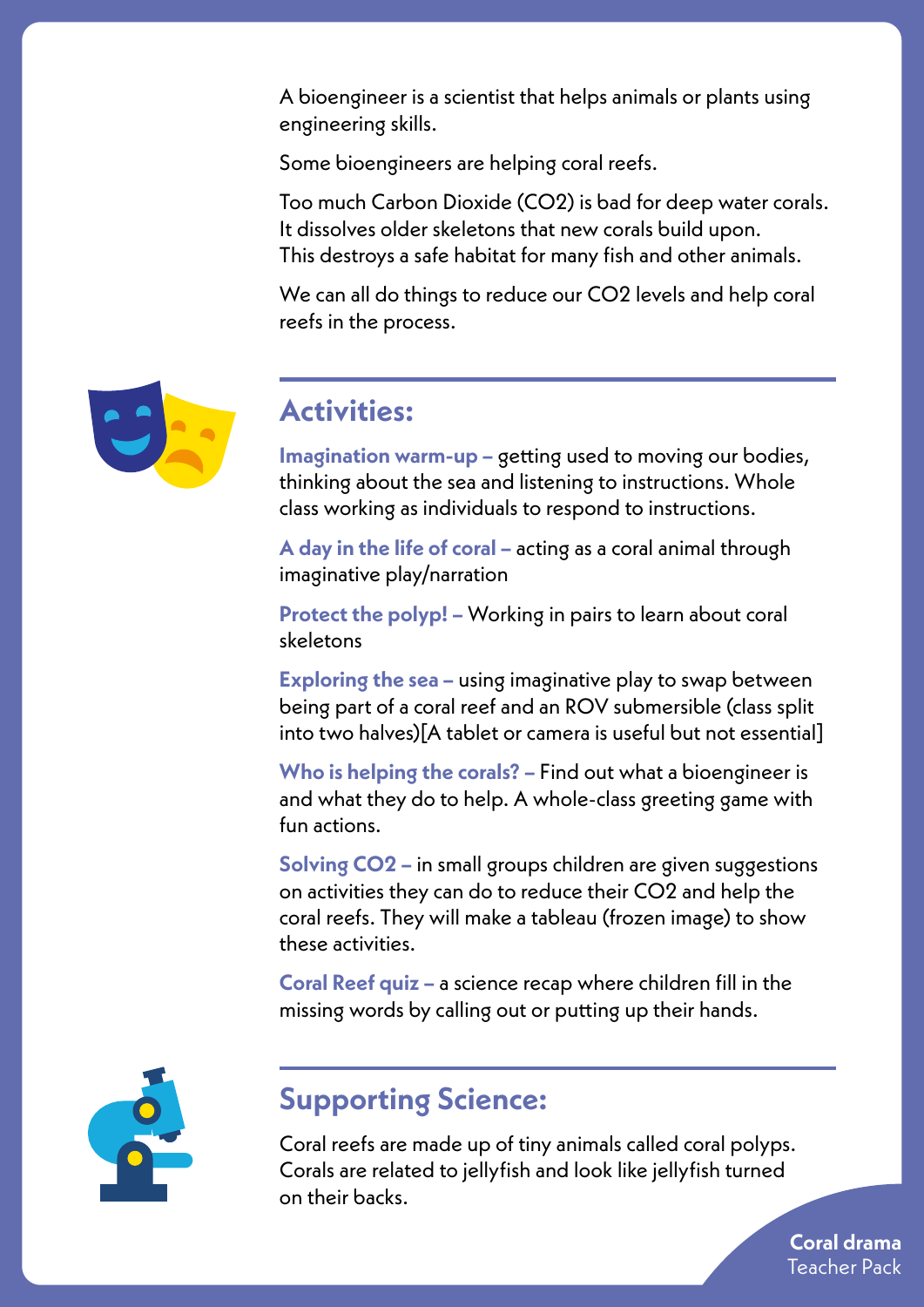A bioengineer is a scientist that helps animals or plants using engineering skills.

Some bioengineers are helping coral reefs.

Too much Carbon Dioxide (CO2) is bad for deep water corals. It dissolves older skeletons that new corals build upon. This destroys a safe habitat for many fish and other animals.

We can all do things to reduce our CO2 levels and help coral reefs in the process.



#### **Activities:**

**Imagination warm-up –** getting used to moving our bodies, thinking about the sea and listening to instructions. Whole class working as individuals to respond to instructions.

**A day in the life of coral –** acting as a coral animal through imaginative play/narration

**Protect the polyp! –** Working in pairs to learn about coral skeletons

**Exploring the sea –** using imaginative play to swap between being part of a coral reef and an ROV submersible (class split into two halves)[A tablet or camera is useful but not essential]

**Who is helping the corals? –** Find out what a bioengineer is and what they do to help. A whole-class greeting game with fun actions.

**Solving CO2 –** in small groups children are given suggestions on activities they can do to reduce their CO2 and help the coral reefs. They will make a tableau (frozen image) to show these activities.

**Coral Reef quiz –** a science recap where children fill in the missing words by calling out or putting up their hands.



## **Supporting Science:**

Coral reefs are made up of tiny animals called coral polyps. Corals are related to jellyfish and look like jellyfish turned on their backs.

> **Coral drama** Teacher Pack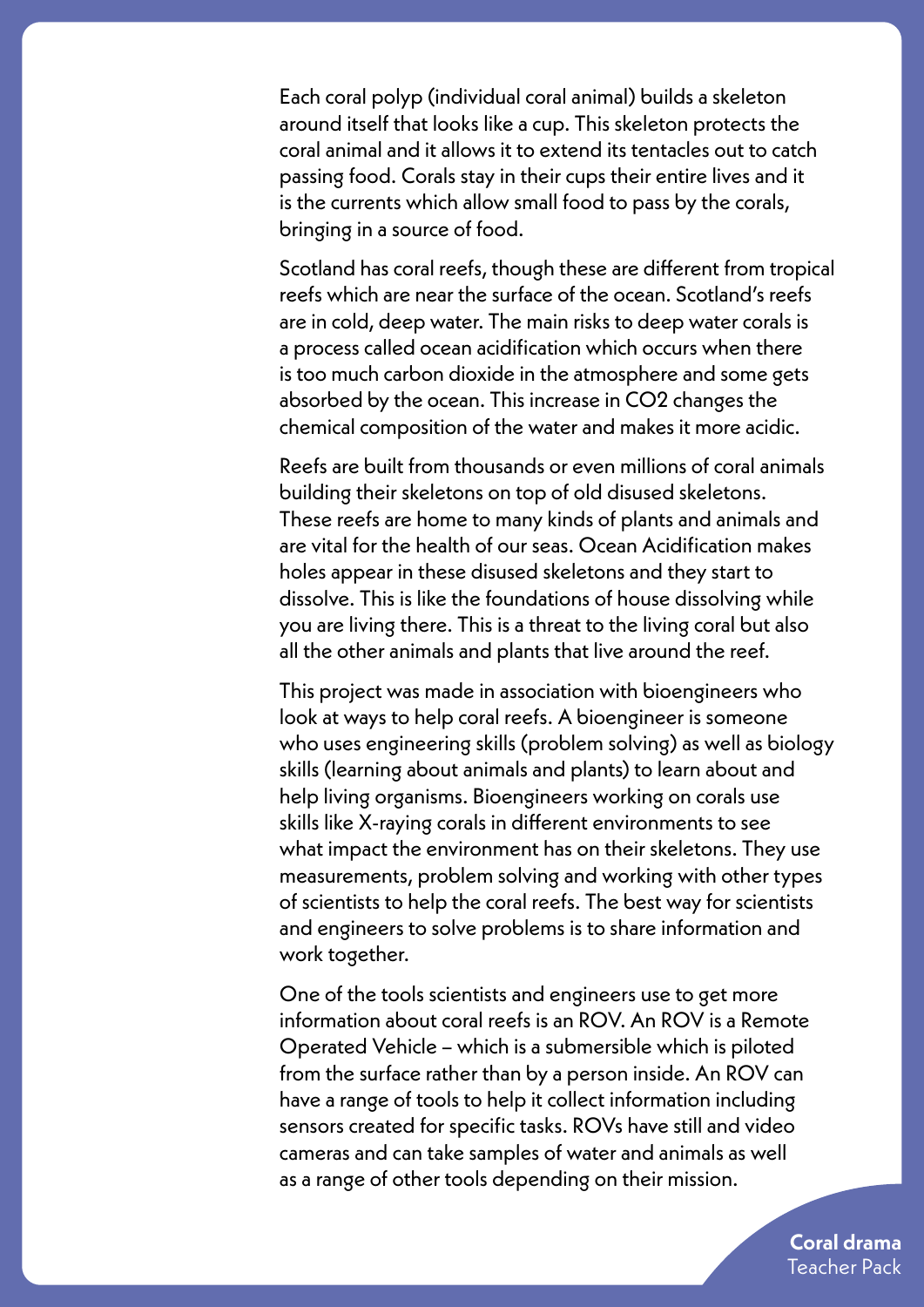Each coral polyp (individual coral animal) builds a skeleton around itself that looks like a cup. This skeleton protects the coral animal and it allows it to extend its tentacles out to catch passing food. Corals stay in their cups their entire lives and it is the currents which allow small food to pass by the corals, bringing in a source of food.

Scotland has coral reefs, though these are different from tropical reefs which are near the surface of the ocean. Scotland's reefs are in cold, deep water. The main risks to deep water corals is a process called ocean acidification which occurs when there is too much carbon dioxide in the atmosphere and some gets absorbed by the ocean. This increase in CO2 changes the chemical composition of the water and makes it more acidic.

Reefs are built from thousands or even millions of coral animals building their skeletons on top of old disused skeletons. These reefs are home to many kinds of plants and animals and are vital for the health of our seas. Ocean Acidification makes holes appear in these disused skeletons and they start to dissolve. This is like the foundations of house dissolving while you are living there. This is a threat to the living coral but also all the other animals and plants that live around the reef.

This project was made in association with bioengineers who look at ways to help coral reefs. A bioengineer is someone who uses engineering skills (problem solving) as well as biology skills (learning about animals and plants) to learn about and help living organisms. Bioengineers working on corals use skills like X-raying corals in different environments to see what impact the environment has on their skeletons. They use measurements, problem solving and working with other types of scientists to help the coral reefs. The best way for scientists and engineers to solve problems is to share information and work together.

One of the tools scientists and engineers use to get more information about coral reefs is an ROV. An ROV is a Remote Operated Vehicle – which is a submersible which is piloted from the surface rather than by a person inside. An ROV can have a range of tools to help it collect information including sensors created for specific tasks. ROVs have still and video cameras and can take samples of water and animals as well as a range of other tools depending on their mission.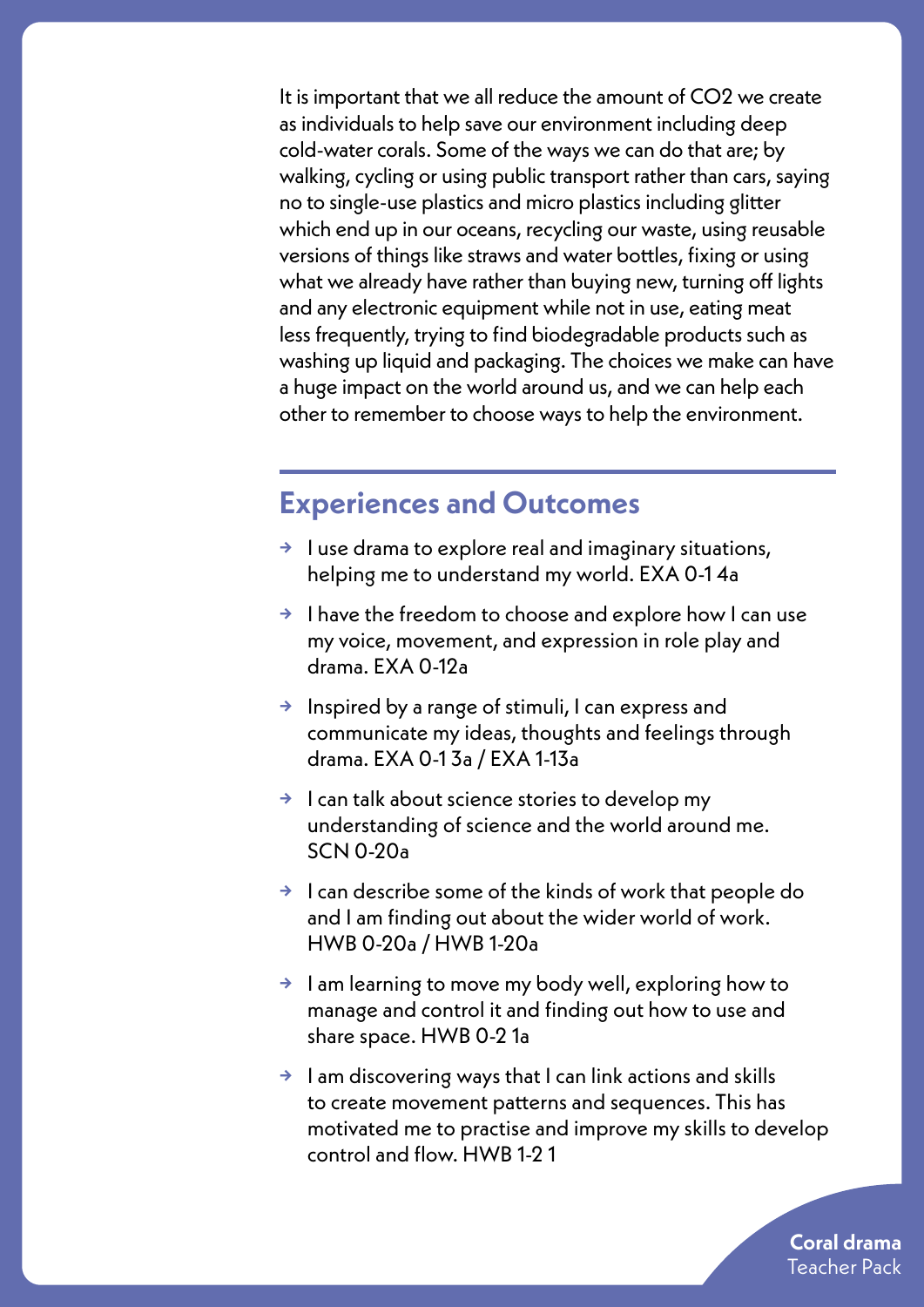It is important that we all reduce the amount of CO2 we create as individuals to help save our environment including deep cold-water corals. Some of the ways we can do that are; by walking, cycling or using public transport rather than cars, saying no to single-use plastics and micro plastics including glitter which end up in our oceans, recycling our waste, using reusable versions of things like straws and water bottles, fixing or using what we already have rather than buying new, turning off lights and any electronic equipment while not in use, eating meat less frequently, trying to find biodegradable products such as washing up liquid and packaging. The choices we make can have a huge impact on the world around us, and we can help each other to remember to choose ways to help the environment.

#### **Experiences and Outcomes**

- **→** I use drama to explore real and imaginary situations, helping me to understand my world. EXA 0-1 4a
- **→** I have the freedom to choose and explore how I can use my voice, movement, and expression in role play and drama. EXA 0-12a
- **→** Inspired by a range of stimuli, I can express and communicate my ideas, thoughts and feelings through drama. EXA 0-1 3a / EXA 1-13a
- **→** I can talk about science stories to develop my understanding of science and the world around me. SCN 0-20a
- **→** I can describe some of the kinds of work that people do and I am finding out about the wider world of work. HWB 0-20a / HWB 1-20a
- **→** I am learning to move my body well, exploring how to manage and control it and finding out how to use and share space. HWB 0-2 1a
- **→** I am discovering ways that I can link actions and skills to create movement patterns and sequences. This has motivated me to practise and improve my skills to develop control and flow. HWB 1-2 1

**Coral drama** Teacher Pack